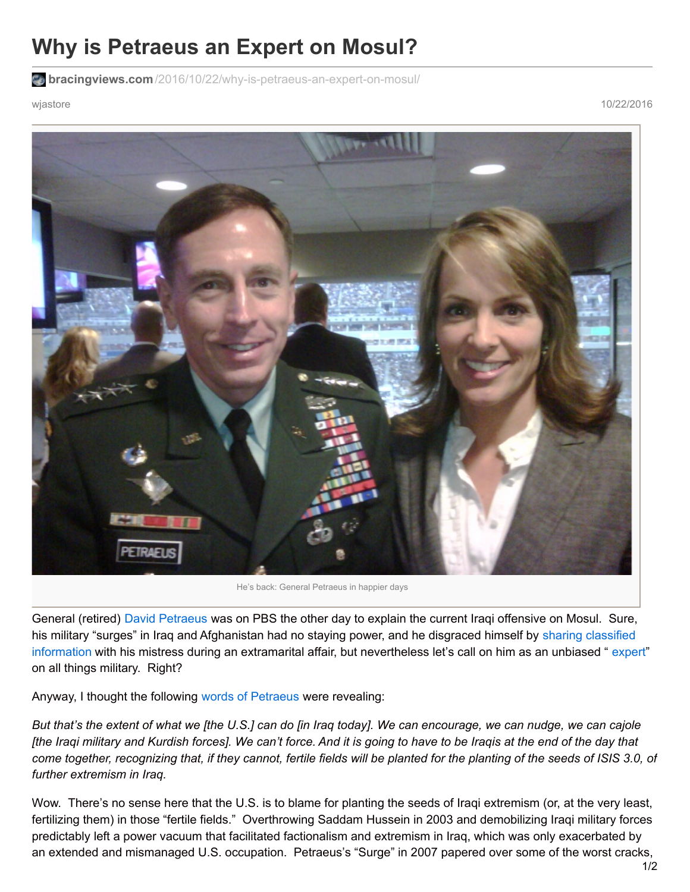## **Why is Petraeus an Expert on Mosul?**

**bracingviews.com**[/2016/10/22/why-is-petraeus-an-expert-on-mosul/](https://bracingviews.com/2016/10/22/why-is-petraeus-an-expert-on-mosul/)

wjastore 10/22/2016



He's back: General Petraeus in happier days

General (retired) David [Petraeus](https://bracingviews.com/2013/09/18/americas-ascetic-warrior-generals/) was on PBS the other day to explain the current Iraqi offensive on Mosul. Sure, his military "surges" in Iraq and Afghanistan had no staying power, and he disgraced himself by sharing classified information with his mistress during an extramarital affair, but [nevertheless](https://bracingviews.com/2015/03/04/petraeus-and-snowden-both-leakers-of-classified-material-same-punishment/) let's call on him as an unbiased " [expert](https://bracingviews.com/2016/07/05/petraeus-the-messiah/)" on all things military. Right?

Anyway, I thought the following words of [Petraeus](http://www.pbs.org/newshour/bb/petraeus-says-theres-bigger-challenge-come-iraq-retakes-mosul-isis/) were revealing:

But that's the extent of what we [the U.S.] can do [in Iraq today]. We can encourage, we can nudge, we can cajole [the Iraqi military and Kurdish forces]. We can't force. And it is going to have to be Iraqis at the end of the day that come together, recognizing that, if they cannot, fertile fields will be planted for the planting of the seeds of ISIS 3.0, of *further extremism in Iraq.*

Wow. There's no sense here that the U.S. is to blame for planting the seeds of Iraqi extremism (or, at the very least, fertilizing them) in those "fertile fields." Overthrowing Saddam Hussein in 2003 and demobilizing Iraqi military forces predictably left a power vacuum that facilitated factionalism and extremism in Iraq, which was only exacerbated by an extended and mismanaged U.S. occupation. Petraeus's "Surge" in 2007 papered over some of the worst cracks,